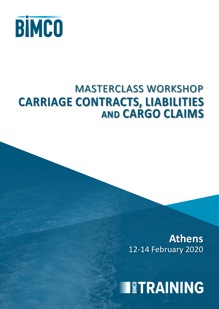

## MASTERCLASS WORKSHOP **CARRIAGE CONTRACTS, LIABILITIES AND CARGO CLAIMS**

12-14 February 2020 **Athens**

**IETRAINING**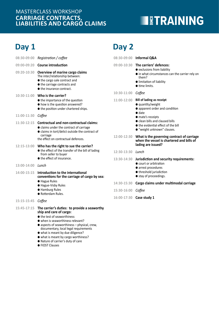### **CARRIAGE CONTRACTS, LIABILITIES AND CARGO CLAIMS** MASTERCLASS WORKSHOP

● the test of seaworthiness ● when is seaworthiness relevant?

● FIOST Clauses

● aspects of seaworthiness – physical, crew, documentary, local legal requirements ● what is meant by due diligence? ● what is meant by cargo worthiness? ● Nature of carrier's duty of care

## **TETRAINING**

### **Day 1 Day 2**

| 08:30-09:00   | Registration / coffee                                                                                                                                            |                    | 08:30-09:00 Informal Q&A                                                                                                               |
|---------------|------------------------------------------------------------------------------------------------------------------------------------------------------------------|--------------------|----------------------------------------------------------------------------------------------------------------------------------------|
| 09:00-09:20   | <b>Course introduction</b>                                                                                                                                       |                    | 09:00-10:30 The carriers' defences:                                                                                                    |
| 09:20-10:30   | Overview of marine cargo claims<br>The inter/relationship between:<br>● the cargo sale contract and<br>● the carriage contracts and<br>● the insurance contract. |                    | • exclusions from liability<br>• in what circumstances can the carrier rely on<br>them?<br>· limitation of liability<br>● time limits. |
| $10:30-11:00$ | Who is the carrier?                                                                                                                                              | 10:30-11:00 Coffee |                                                                                                                                        |
|               | ● the importance of the question<br>$\bullet$ how is the question answered?<br>● the position under chartered ships.                                             | 11:00-12:00        | <b>Bill of lading as receipt</b><br>● quantity/weight<br>• apparent order and condition<br>$\bullet$ date                              |
| 11:00-11:30   | Coffee                                                                                                                                                           |                    | • mate's receipts                                                                                                                      |
| 11:30-12:15   | <b>Contractual and non-contractual claims:</b><br>• claims under the contract of carriage<br>• claims in tort/delict outside the contract of                     |                    | • clean bills and claused bills<br>● the evidential effect of the bill<br>● "weight unknown" clauses.                                  |
|               | carriage<br>the effect on contractual defences.                                                                                                                  | 12:00-12:30        | What is the governing contract of carriage<br>when the vessel is chartered and bills of                                                |
| 12:15-13:00   | Who has the right to sue the carrier?                                                                                                                            |                    | lading are issued?                                                                                                                     |
|               | ● the effect of the transfer of the bill of lading<br>from seller to buyer                                                                                       | 12:30-13:30 Lunch  |                                                                                                                                        |
|               | ● the effect of insurance.                                                                                                                                       | 13:30-14:30        | Jurisdiction and security requirements:                                                                                                |
| 13:00-14:00   | Lunch                                                                                                                                                            |                    | • court or arbitration<br>• arrest procedures                                                                                          |
| 14:00-15:15   | Introduction to the international<br>conventions for the carriage of cargo by sea:                                                                               |                    | ● threshold jurisdiction<br>● stay of proceedings.                                                                                     |
|               | ● Hague Rules<br>● Hague-Visby Rules                                                                                                                             | 14:30-15:30        | Cargo claims under multimodal carriage                                                                                                 |
|               | <b>• Hamburg Rules</b><br>· Rotterdam Rules.                                                                                                                     | 15:30-16:00        | Coffee                                                                                                                                 |
| 15:15-15:45   | Coffee                                                                                                                                                           |                    | 16:00-17:30 Case study 1                                                                                                               |
| 15:45-17:15   | The carrier's duties: to provide a seaworthy<br>ship and care of cargo:                                                                                          |                    |                                                                                                                                        |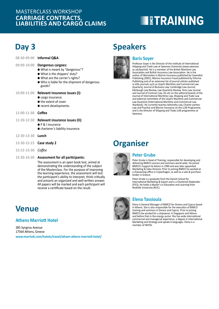### **CARRIAGE CONTRACTS, LIABILITIES AND CARGO CLAIMS** MASTERCLASS WORKSHOP

# **EXPERIENTING**

### **Day 3**

|                    | 08:30-09:00 Informal Q&A                                                                                                                                                              |
|--------------------|---------------------------------------------------------------------------------------------------------------------------------------------------------------------------------------|
| 09:00-10:00        | Dangerous cargoes:<br>• What is meant by "dangerous"?<br>• What is the shippers' duty?<br>• What are the carrier's rights?<br>● Who is liable for the shipment of dangerous<br>goods? |
| $10:00 - 11:00$    | Relevant insurance issues (I):<br>• cargo insurance<br>● the extent of cover<br>• recent developments.                                                                                |
| 11:00-11:30 Coffee |                                                                                                                                                                                       |
| 11:30-12:30        | Relevant insurance issues (II):<br>$\bullet$ P & I insurance<br>• charterer's liability insurance.                                                                                    |
| 12:30-13:30 Lunch  |                                                                                                                                                                                       |
|                    | 13:30-15:15 Case study 2                                                                                                                                                              |
| 15:15-15:30        | Coffee                                                                                                                                                                                |

**15:30-16:30 Assessment for all participants:**

The assessment is an open book test, aimed at demonstrating the understanding of the subject of the Masterclass. For the purpose of improving the learning experience, the assessment will test the participant's ability to interpret, think critically and present an organized and well written answer. All papers will be marked and each participant will receive a certificate based on the result.

### **Venue**

### **Athens Marriott Hotel**

385 Syngrou Avenue 17564 Athens, Greece **www.marriott.com/hotels/travel/atham-athens-marriott-hotel/**

### **Speakers**



### **Baris Soyer**

Professor Soyer is the Director of the Institute of International Shipping and Trade Law at Swansea University (*www.swansea. ac.uk/law/istl*). He is a member of the British Maritime Law Association and British Insurance Law Association. He is the author of Warranties in Marine Insurance published by Cavendish Publishing (2001), Marine Insurance Fraud published by Informa Publishing and of an extensive list of journal articles published in elite journals such as Lloyd's Maritime and Commercial Law Quarterly, Journal of Business Law, Cambridge Law Journal, Edinburgh Law Review, Law Quarterly Review, Torts Law Journal and Journal of Contract Law. He sits on the editorial boards of the Journal of International Maritime Law, Shipping and Trade Law and editorial committee of the Lloyd's Maritime and Commercial Law Quarterly (International Maritime and Commercial Law Yearbook). He currently teaches Admiralty Law, Charter parties: Law and Practice and Marine Insurance on the LLM Programme, and is the Director of Shipping and Trade LLM programmes at Swansea.

### **Organiser**



#### **Peter Grube**

Peter Grube is Head of Training, responsible for developing and delivering BIMCO courses and seminars world-wide. He joined BIMCO's Support & Advice in 1990 and was later appointed Marketing & Sales Director. Prior to joining BIMCO he worked at a shipowning office in Copenhagen, as well as a sale & purchase broker in Greece.

Peter Grube is a graduate from the Danish School for International Marketing & Export and is a Chartered Shipbroker (FICS). He holds a Master's in Education and Learning from Roskilde University (RUC).

#### **Elena Tassioula**

Elena is General Manager of BIMCO for Greece and Cyprus based in Athens. She is also responsible for the execution of BIMCO training and seminars in Greece and Cyprus. Prior to joining BIMCO she worked for a shipowner in Singapore and Athens and before that in the energy sector. She has wide international commercial and managerial experience, a degree in International Marketing and Strategy and speaks 6 languages. Elena is a member of WISTA.